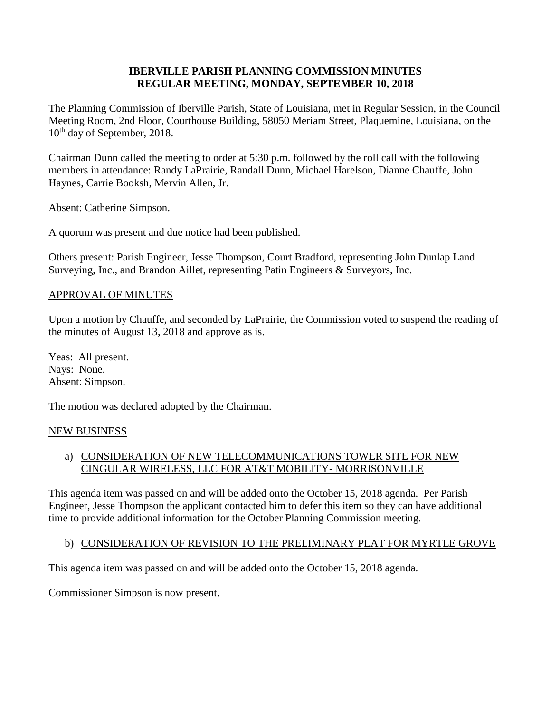### **IBERVILLE PARISH PLANNING COMMISSION MINUTES REGULAR MEETING, MONDAY, SEPTEMBER 10, 2018**

The Planning Commission of Iberville Parish, State of Louisiana, met in Regular Session, in the Council Meeting Room, 2nd Floor, Courthouse Building, 58050 Meriam Street, Plaquemine, Louisiana, on the 10<sup>th</sup> day of September, 2018.

Chairman Dunn called the meeting to order at 5:30 p.m. followed by the roll call with the following members in attendance: Randy LaPrairie, Randall Dunn, Michael Harelson, Dianne Chauffe, John Haynes, Carrie Booksh, Mervin Allen, Jr.

Absent: Catherine Simpson.

A quorum was present and due notice had been published.

Others present: Parish Engineer, Jesse Thompson, Court Bradford, representing John Dunlap Land Surveying, Inc., and Brandon Aillet, representing Patin Engineers & Surveyors, Inc.

#### APPROVAL OF MINUTES

Upon a motion by Chauffe, and seconded by LaPrairie, the Commission voted to suspend the reading of the minutes of August 13, 2018 and approve as is.

Yeas: All present. Nays: None. Absent: Simpson.

The motion was declared adopted by the Chairman.

#### NEW BUSINESS

### a) CONSIDERATION OF NEW TELECOMMUNICATIONS TOWER SITE FOR NEW CINGULAR WIRELESS, LLC FOR AT&T MOBILITY- MORRISONVILLE

This agenda item was passed on and will be added onto the October 15, 2018 agenda. Per Parish Engineer, Jesse Thompson the applicant contacted him to defer this item so they can have additional time to provide additional information for the October Planning Commission meeting.

## b) CONSIDERATION OF REVISION TO THE PRELIMINARY PLAT FOR MYRTLE GROVE

This agenda item was passed on and will be added onto the October 15, 2018 agenda.

Commissioner Simpson is now present.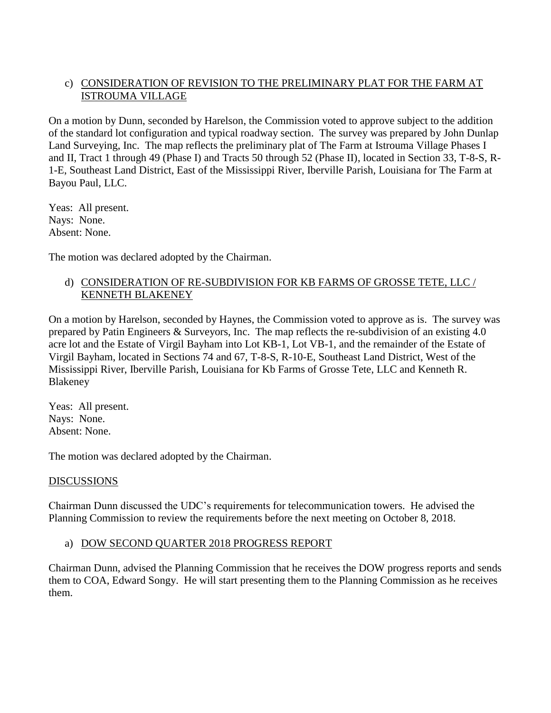# c) CONSIDERATION OF REVISION TO THE PRELIMINARY PLAT FOR THE FARM AT ISTROUMA VILLAGE

On a motion by Dunn, seconded by Harelson, the Commission voted to approve subject to the addition of the standard lot configuration and typical roadway section. The survey was prepared by John Dunlap Land Surveying, Inc. The map reflects the preliminary plat of The Farm at Istrouma Village Phases I and II, Tract 1 through 49 (Phase I) and Tracts 50 through 52 (Phase II), located in Section 33, T-8-S, R-1-E, Southeast Land District, East of the Mississippi River, Iberville Parish, Louisiana for The Farm at Bayou Paul, LLC.

Yeas: All present. Nays: None. Absent: None.

The motion was declared adopted by the Chairman.

# d) CONSIDERATION OF RE-SUBDIVISION FOR KB FARMS OF GROSSE TETE, LLC / KENNETH BLAKENEY

On a motion by Harelson, seconded by Haynes, the Commission voted to approve as is. The survey was prepared by Patin Engineers & Surveyors, Inc. The map reflects the re-subdivision of an existing 4.0 acre lot and the Estate of Virgil Bayham into Lot KB-1, Lot VB-1, and the remainder of the Estate of Virgil Bayham, located in Sections 74 and 67, T-8-S, R-10-E, Southeast Land District, West of the Mississippi River, Iberville Parish, Louisiana for Kb Farms of Grosse Tete, LLC and Kenneth R. Blakeney

Yeas: All present. Nays: None. Absent: None.

The motion was declared adopted by the Chairman.

## DISCUSSIONS

Chairman Dunn discussed the UDC's requirements for telecommunication towers. He advised the Planning Commission to review the requirements before the next meeting on October 8, 2018.

## a) DOW SECOND QUARTER 2018 PROGRESS REPORT

Chairman Dunn, advised the Planning Commission that he receives the DOW progress reports and sends them to COA, Edward Songy. He will start presenting them to the Planning Commission as he receives them.